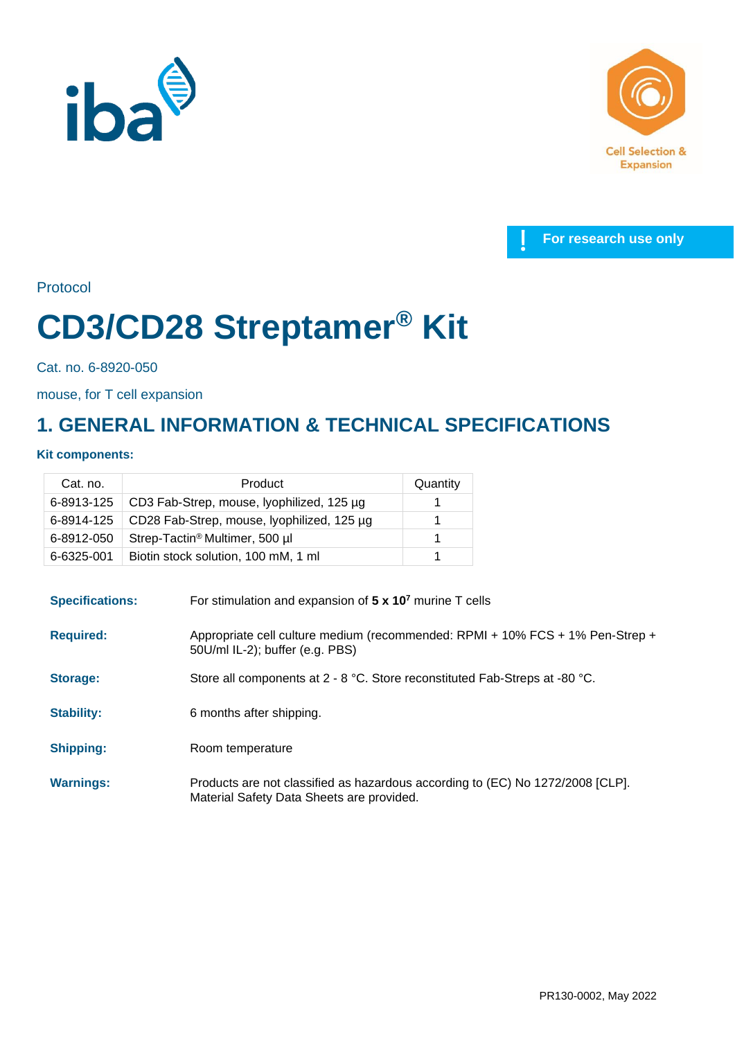





Protocol

# **CD3/CD28 Streptamer® Kit**

Cat. no. 6-8920-050

mouse, for T cell expansion

# **1. GENERAL INFORMATION & TECHNICAL SPECIFICATIONS**

#### **Kit components:**

| Cat. no.   | Product                                    | Quantity |
|------------|--------------------------------------------|----------|
| 6-8913-125 | CD3 Fab-Strep, mouse, lyophilized, 125 µg  |          |
| 6-8914-125 | CD28 Fab-Strep, mouse, lyophilized, 125 µg |          |
| 6-8912-050 | Strep-Tactin <sup>®</sup> Multimer, 500 µl |          |
| 6-6325-001 | Biotin stock solution, 100 mM, 1 ml        |          |

| <b>Specifications:</b> | For stimulation and expansion of $5 \times 10^7$ murine T cells                                                             |  |
|------------------------|-----------------------------------------------------------------------------------------------------------------------------|--|
| <b>Required:</b>       | Appropriate cell culture medium (recommended: RPMI + 10% FCS + 1% Pen-Strep +<br>50U/ml IL-2); buffer (e.g. PBS)            |  |
| Storage:               | Store all components at 2 - 8 °C. Store reconstituted Fab-Streps at -80 °C.                                                 |  |
| <b>Stability:</b>      | 6 months after shipping.                                                                                                    |  |
| <b>Shipping:</b>       | Room temperature                                                                                                            |  |
| <b>Warnings:</b>       | Products are not classified as hazardous according to (EC) No 1272/2008 [CLP].<br>Material Safety Data Sheets are provided. |  |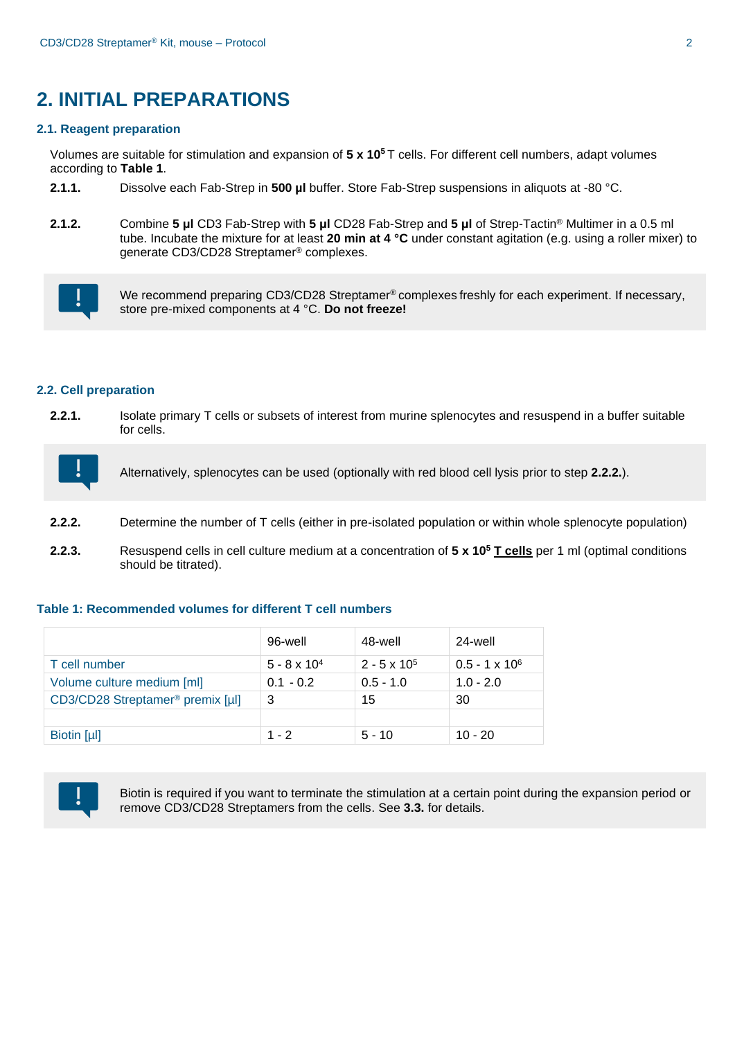## **2. INITIAL PREPARATIONS**

#### **2.1. Reagent preparation**

Volumes are suitable for stimulation and expansion of **5 x 10<sup>5</sup>** T cells. For different cell numbers, adapt volumes according to **Table 1**.

- **2.1.1.** Dissolve each Fab-Strep in **500 µl** buffer. Store Fab-Strep suspensions in aliquots at -80 °C.
- **2.1.2.** Combine **5 μl** CD3 Fab-Strep with **5 μl** CD28 Fab-Strep and **5 μl** of Strep-Tactin® Multimer in a 0.5 ml tube. Incubate the mixture for at least **20 min at 4 °C** under constant agitation (e.g. using a roller mixer) to generate CD3/CD28 Streptamer® complexes.



We recommend preparing CD3/CD28 Streptamer<sup>®</sup> complexes freshly for each experiment. If necessary, store pre-mixed components at 4 °C. **Do not freeze!**

#### **2.2. Cell preparation**

**2.2.1.** Isolate primary T cells or subsets of interest from murine splenocytes and resuspend in a buffer suitable for cells.



Alternatively, splenocytes can be used (optionally with red blood cell lysis prior to step **2.2.2.**).

- **2.2.2.** Determine the number of T cells (either in pre-isolated population or within whole splenocyte population)
- **2.2.3.** Resuspend cells in cell culture medium at a concentration of **5 x 10<sup>5</sup> T cells** per 1 ml (optimal conditions should be titrated).

#### **Table 1: Recommended volumes for different T cell numbers**

|                                              | 96-well               | 48-well             | 24-well               |
|----------------------------------------------|-----------------------|---------------------|-----------------------|
| T cell number                                | $5 - 8 \times 10^{4}$ | $2 - 5 \times 10^5$ | $0.5 - 1 \times 10^6$ |
| Volume culture medium [ml]                   | $0.1 - 0.2$           | $0.5 - 1.0$         | $1.0 - 2.0$           |
| CD3/CD28 Streptamer <sup>®</sup> premix [µl] | 3                     | 15                  | 30                    |
|                                              |                       |                     |                       |
| Biotin $[µ]$                                 | $1 - 2$               | $5 - 10$            | $10 - 20$             |



Biotin is required if you want to terminate the stimulation at a certain point during the expansion period or remove CD3/CD28 Streptamers from the cells. See **3.3.** for details.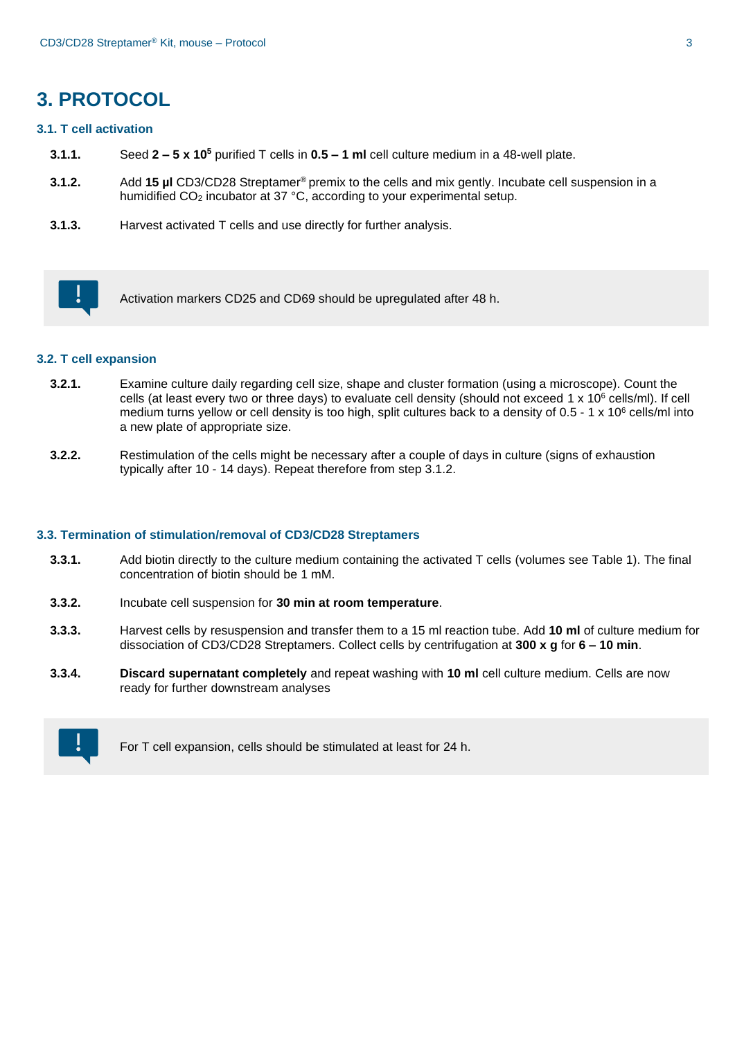### **3. PROTOCOL**

#### **3.1. T cell activation**

- **3.1.1.** Seed **2 – 5 x 10<sup>5</sup>** purified T cells in **0.5 – 1 ml** cell culture medium in a 48-well plate.
- **3.1.2.** Add **15 µl** CD3/CD28 Streptamer® premix to the cells and mix gently. Incubate cell suspension in a humidified CO<sub>2</sub> incubator at 37 °C, according to your experimental setup.
- **3.1.3.** Harvest activated T cells and use directly for further analysis.



Activation markers CD25 and CD69 should be upregulated after 48 h.

#### **3.2. T cell expansion**

- **3.2.1.** Examine culture daily regarding cell size, shape and cluster formation (using a microscope). Count the cells (at least every two or three days) to evaluate cell density (should not exceed 1 x 10 $^6$  cells/ml). If cell medium turns yellow or cell density is too high, split cultures back to a density of  $0.5 - 1 \times 10^6$  cells/ml into a new plate of appropriate size.
- **3.2.2.** Restimulation of the cells might be necessary after a couple of days in culture (signs of exhaustion typically after 10 - 14 days). Repeat therefore from step 3.1.2.

#### **3.3. Termination of stimulation/removal of CD3/CD28 Streptamers**

- **3.3.1.** Add biotin directly to the culture medium containing the activated T cells (volumes see Table 1). The final concentration of biotin should be 1 mM.
- **3.3.2.** Incubate cell suspension for **30 min at room temperature**.
- **3.3.3.** Harvest cells by resuspension and transfer them to a 15 ml reaction tube. Add **10 ml** of culture medium for dissociation of CD3/CD28 Streptamers. Collect cells by centrifugation at **300 x g** for **6 – 10 min**.
- **3.3.4. Discard supernatant completely** and repeat washing with **10 ml** cell culture medium. Cells are now ready for further downstream analyses



For T cell expansion, cells should be stimulated at least for 24 h.